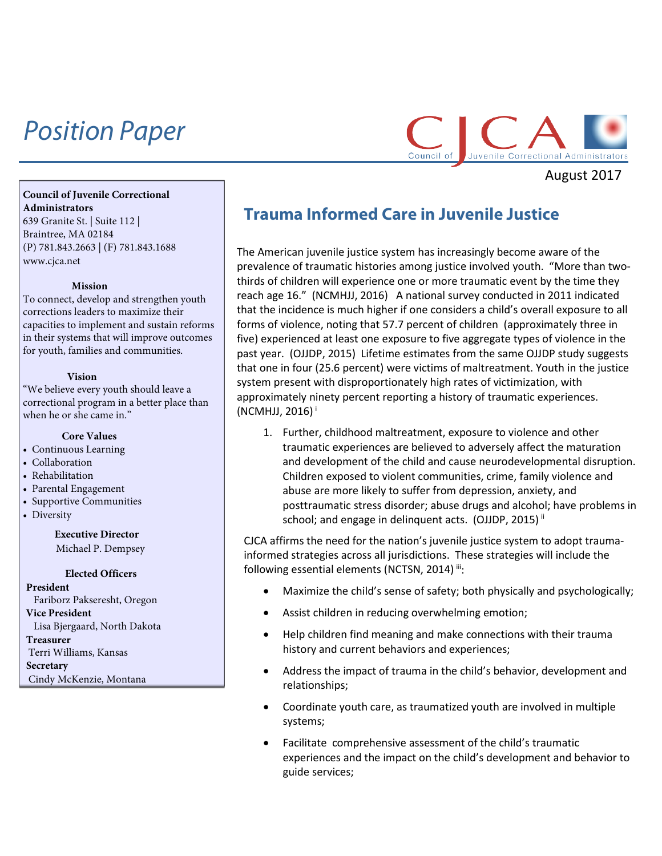# *Position Paper*



August 2017

### **Council of Juvenile Correctional Administrators** 639 Granite St. | Suite 112 | Braintree, MA 02184 (P) 781.843.2663 | (F) 781.843.1688

[www.cjca.net](http://www.cjca.net/)

#### **Mission**

To connect, develop and strengthen youth corrections leaders to maximize their capacities to implement and sustain reforms in their systems that will improve outcomes for youth, families and communities.

#### **Vision**

"We believe every youth should leave a correctional program in a better place than when he or she came in."

#### **Core Values**

- Continuous Learning
- Collaboration
- Rehabilitation
- Parental Engagement
- Supportive Communities
- Diversity

## **Executive Director** Michael P. Dempsey

#### **Elected Officers**

**President** Fariborz Pakseresht, Oregon **Vice President** Lisa Bjergaard, North Dakota **Treasurer** Terri Williams, Kansas **Secretary** Cindy McKenzie, Montana

# **Trauma Informed Care in Juvenile Justice**

The American juvenile justice system has increasingly become aware of the prevalence of traumatic histories among justice involved youth. "More than twothirds of children will experience one or more traumatic event by the time they reach age 16." (NCMHJJ, 2016) A national survey conducted in 2011 indicated that the incidence is much higher if one considers a child's overall exposure to all forms of violence, noting that 57.7 percent of children (approximately three in five) experienced at least one exposure to five aggregate types of violence in the past year. (OJJDP, 2015) Lifetime estimates from the same OJJDP study suggests that one in four (25.6 percent) were victims of maltreatment. Youth in the justice system present with disproportionately high rates of victimization, with approximately ninety percent reporting a history of traumatic experiences.  $(NCMHJJ, 2016)$ <sup>[i](#page-1-0)</sup>

1. Further, childhood maltreatment, exposure to violence and other traumatic experiences are believed to adversely affect the maturation and development of the child and cause neurodevelopmental disruption. Children exposed to violent communities, crime, family violence and abuse are more likely to suffer from depression, anxiety, and posttraumatic stress disorder; abuse drugs and alcohol; have problems in school; and engage in delinquent acts. (OJJDP, 2015)<sup>[ii](#page-1-1)</sup>

CJCA affirms the need for the nation's juvenile justice system to adopt traumainformed strategies across all jurisdictions. These strategies will include the following essential elements (NCTSN, 2014) [iii:](#page-1-2)

- Maximize the child's sense of safety; both physically and psychologically;
- Assist children in reducing overwhelming emotion;
- Help children find meaning and make connections with their trauma history and current behaviors and experiences;
- Address the impact of trauma in the child's behavior, development and relationships;
- Coordinate youth care, as traumatized youth are involved in multiple systems;
- Facilitate comprehensive assessment of the child's traumatic experiences and the impact on the child's development and behavior to guide services;